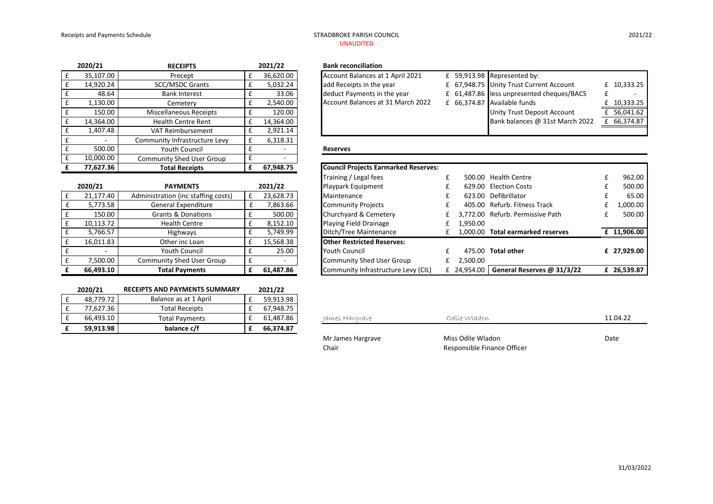# UNAUDITED

| 2020/21   | <b>RECEIPTS</b>                  | 2021/22   | <b>Bank reconciliation</b>                                       |
|-----------|----------------------------------|-----------|------------------------------------------------------------------|
| 35,107.00 | Precept                          | 36,620.00 | Account Balances at 1 April 2021<br>£ 59,913.98 Represented by:  |
| 14,920.24 | <b>SCC/MSDC Grants</b>           | 5,032.24  | add Receipts in the year<br>£ 67,948.75 Unity Trust Curr         |
| 48.64     | <b>Bank Interest</b>             | 33.06     | deduct Payments in the year<br>£ 61,487.86 less unpresented      |
| 1,130.00  | Cemetery                         | 2,540.00  | Account Balances at 31 March 2022<br>£ 66,374.87 Available funds |
| 150.00    | <b>Miscellaneous Receipts</b>    | 120.00    | <b>Unity Trust Dep</b>                                           |
| 14,364.00 | <b>Health Centre Rent</b>        | 14.364.00 | Bank balances @                                                  |
| 1.407.48  | <b>VAT Reimbursement</b>         | 2,921.14  |                                                                  |
|           | Community Infrastructure Levy    | 6,318.31  |                                                                  |
| 500.00    | <b>Youth Council</b>             |           | <b>Reserves</b>                                                  |
| 10,000.00 | <b>Community Shed User Group</b> |           |                                                                  |

| 2020/21   | <b>RECEIPTS</b>               | 2021/22   | <b>Bank reconciliation</b>                                               |                      |
|-----------|-------------------------------|-----------|--------------------------------------------------------------------------|----------------------|
| 35.107.00 | Precept                       | 36.620.00 | Account Balances at 1 April 2021<br>$E$ 59,913.98 Represented by:        |                      |
| 14.920.24 | <b>SCC/MSDC Grants</b>        | 5.032.24  | £ 67,948.75 Unity Trust Current Account<br>add Receipts in the year      | £ $10,333.25$        |
| 48.64     | <b>Bank Interest</b>          | 33.06     | £ 61,487.86 less unpresented cheques/BACS<br>deduct Payments in the year |                      |
| 1,130.00  | Cemeterv                      | 2,540.00  | Account Balances at 31 March 2022<br>£ 66,374.87 Available funds         | £ 10,333.25 <b> </b> |
| 150.00    | <b>Miscellaneous Receipts</b> | 120.00    | Unity Trust Deposit Account                                              | £ 56.041.62          |
| 14.364.00 | <b>Health Centre Rent</b>     | 14.364.00 | Bank balances @ 31st March 2022                                          | £ 66,374.87          |
| 1,407.48  | <b>VAT Reimbursement</b>      | 2.921.14  |                                                                          |                      |

|           |                                     |           | Training / Legal lees               | <b>JUU.UU</b> |
|-----------|-------------------------------------|-----------|-------------------------------------|---------------|
| 2020/21   | <b>PAYMENTS</b>                     | 2021/22   | Playpark Equipment                  | 629.00        |
| 21,177.40 | Administration (inc staffing costs) | 23,628.73 | Maintenance                         | 623.00        |
| 5,773.58  | <b>General Expenditure</b>          | 7,863.66  | <b>Community Projects</b>           | 405.00        |
| 150.00    | <b>Grants &amp; Donations</b>       | 500.00    | Churchyard & Cemetery               | 3,772.00      |
| 10.113.72 | <b>Health Centre</b>                | 8,152.10  | Playing Field Drainage              | 1,950.00      |
| 5,766.57  | Highways                            | 5,749.99  | Ditch/Tree Maintenance              | 1,000.00      |
| 16,011.83 | Other inc Loan                      | 15,568.38 | <b>Other Restricted Reserves:</b>   |               |
|           | <b>Youth Council</b>                | 25.00     | <b>Youth Council</b>                | 475.00        |
| 7,500.00  | <b>Community Shed User Group</b>    |           | Community Shed User Group           | 2,500.00      |
| 66,493.10 | <b>Total Payments</b>               | 61,487.86 | Community Infrastructure Levy (CIL) | £ 24,954.00   |

E 10,000.00 Community Shed User Group E -<br>
F 77,627.36 Total Receipts E 67,948.75 **£ 77,627.36 Total Receipts £ 67,948.75 Council Projects Earmarked Reserves:**

| 2020/21   | <b>RECEIPTS AND PAYMENTS SUMMARY</b> | 2021/22   |
|-----------|--------------------------------------|-----------|
| 48.779.72 | Balance as at 1 April                | 59.913.98 |
| 77.627.36 | <b>Total Receipts</b>                | 67.948.75 |
| 66,493.10 | <b>Total Payments</b>                | 61.487.86 |
| 59,913.98 | balance c/f                          | 66,374.87 |

| TO,OOO.OO | COMMUNICY SHEW OSER GROUP           |                          |                                             |             |                                   |             |
|-----------|-------------------------------------|--------------------------|---------------------------------------------|-------------|-----------------------------------|-------------|
| 77,627.36 | <b>Total Receipts</b>               | 67,948.75                | <b>Council Projects Earmarked Reserves:</b> |             |                                   |             |
|           |                                     |                          | Training / Legal fees                       |             | 500.00 Health Centre              | 962.00      |
| 2020/21   | <b>PAYMENTS</b>                     | 2021/22                  | Playpark Equipment                          |             | 629.00 Election Costs             | 500.00      |
| 21,177.40 | Administration (inc staffing costs) | 23,628.73                | Maintenance                                 |             | 623.00 Defibrillator              | 65.00       |
| 5,773.58  | <b>General Expenditure</b>          | 7,863.66                 | <b>Community Projects</b>                   |             | 405.00 Refurb, Fitness Track      | 1,000.00    |
| 150.00    | <b>Grants &amp; Donations</b>       | 500.00                   | Churchyard & Cemetery                       |             | 3.772.00 Refurb. Permissive Path  | 500.00      |
| 10,113.72 | <b>Health Centre</b>                | 8,152.10                 | Playing Field Drainage                      | 1.950.00    |                                   |             |
| 5,766.57  | <b>Highways</b>                     | 5,749.99                 | Ditch/Tree Maintenance                      |             | 1.000.00 Total earmarked reserves | £ 11,906.00 |
| 16,011.83 | Other inc Loan                      | 15,568.38                | <b>Other Restricted Reserves:</b>           |             |                                   |             |
|           | <b>Youth Council</b>                | 25.00                    | <b>Youth Council</b>                        |             | 475.00 Total other                | £ 27.929.00 |
| 7,500.00  | <b>Community Shed User Group</b>    | $\overline{\phantom{a}}$ | Community Shed User Group                   | 2.500.00    |                                   |             |
| 66,493.10 | <b>Total Payments</b>               | 61,487.86                | Community Infrastructure Levy (CIL)         | £ 24,954.00 | General Reserves @ 31/3/22        | £ 26.539.87 |

| 66,493.10 | <b>Total Pavments</b> | 61.487.86 | Iames Hararave    | Odíle Wladon                | 11.04.22 |
|-----------|-----------------------|-----------|-------------------|-----------------------------|----------|
| 59,913.98 | balance c/f           | 66,374.87 |                   |                             |          |
|           |                       |           | Mr James Hargrave | Miss Odile Wladon           | Date     |
|           |                       |           | Chair             | Responsible Finance Officer |          |

2021/22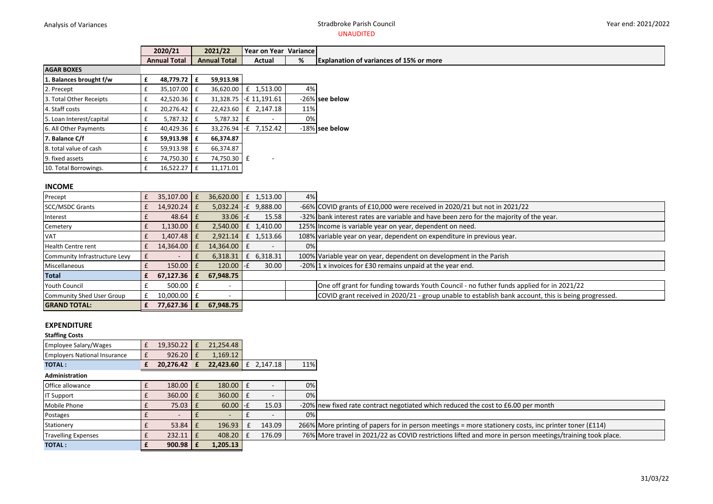#### Analysis of Variances **Stradbroke Parish Council Stradbroke Parish Council** UNAUDITED

#### Year end: 2021/2022

| 2020/21             | 2021/22             | Year on Year Variance |    |                                                |
|---------------------|---------------------|-----------------------|----|------------------------------------------------|
| <b>Annual Total</b> | <b>Annual Total</b> | Actual                | ٥. | <b>Explanation of variances of 15% or more</b> |

| <b>AGAR BOXES</b>        |   |           |   |           |   |               |     |                |
|--------------------------|---|-----------|---|-----------|---|---------------|-----|----------------|
| 1. Balances brought f/w  | £ | 48,779.72 | £ | 59,913.98 |   |               |     |                |
| 2. Precept               | £ | 35,107.00 | £ | 36,620.00 | £ | 1,513.00      | 4%  |                |
| 3. Total Other Receipts  | £ | 42,520.36 | £ | 31,328.75 |   | -£ 11,191.61  |     | -26% see below |
| 4. Staff costs           | £ | 20,276.42 | £ | 22,423.60 | £ | 2,147.18      | 11% |                |
| 5. Loan Interest/capital | £ | 5,787.32  | £ | 5,787.32  | £ | -             | 0%  |                |
| 6. All Other Payments    | £ | 40,429.36 | £ | 33,276.94 |   | $-E$ 7,152.42 |     | -18% see below |
| 7. Balance C/f           | £ | 59,913.98 | £ | 66,374.87 |   |               |     |                |
| 8. total value of cash   | £ | 59,913.98 | £ | 66,374.87 |   |               |     |                |
| 9. fixed assets          | £ | 74,750.30 | £ | 74,750.30 | £ |               |     |                |
| 10. Total Borrowings.    | £ | 16,522.27 | £ | 11,171.01 |   |               |     |                |
|                          |   |           |   |           |   |               |     |                |

#### **INCOME**

| Precept                       | $35.107.00$ E      | 36.620.00   | £ 1,513.00             | 4% |                                                                                                     |
|-------------------------------|--------------------|-------------|------------------------|----|-----------------------------------------------------------------------------------------------------|
| <b>SCC/MSDC Grants</b>        | $14.920.24$ E      |             | $5,032.24$ -£ 9,888.00 |    | -66% COVID grants of £10,000 were received in 2020/21 but not in 2021/22                            |
| Interest                      | $48.64 \mid f$     | $33.06$ -£  | 15.58                  |    | -32% bank interest rates are variable and have been zero for the majority of the year.              |
| Cemetery                      | 1.130.00 E         | 2,540.00    | £ 1,410.00             |    | 125% Income is variable year on year, dependent on need.                                            |
| <b>VAT</b>                    | $1.407.48$   £     | 2,921.14    | £ 1,513.66             |    | 108% variable year on year, dependent on expenditure in previous year.                              |
| Health Centre rent            | 14.364.00 E        | 14.364.00 E |                        | 0% |                                                                                                     |
| Community Infrastructure Levy |                    | 6,318.31    | £ 6,318.31             |    | 100% Variable year on year, dependent on development in the Parish                                  |
| <b>Miscellaneous</b>          | $150.00$ $E$       | 120.00 -f   | 30.00                  |    | -20% 1 x invoices for £30 remains unpaid at the year end.                                           |
| Total                         | $67.127.36 \mid f$ | 67,948.75   |                        |    |                                                                                                     |
| <b>Youth Council</b>          | $500.00$ E         |             |                        |    | One off grant for funding towards Youth Council - no futher funds applied for in 2021/22            |
| Community Shed User Group     | $10,000.00$   £    |             |                        |    | COVID grant received in 2020/21 - group unable to establish bank account, this is being progressed. |
| <b>GRAND TOTAL:</b>           | 77.627.36          | 67,948.75   |                        |    |                                                                                                     |

## **EXPENDITURE**

# **Staffing Costs** Employee Salary/Wages  $\left| \begin{array}{cc} \text{E} & 19,350.22 \end{array} \right|$   $\text{E}$  21,254.48 Employers National Insurance  $\boxed{f}$  926.20  $\boxed{f}$  1,169.12 **TOTAL : £ 20,276.42 £ 22,423.60** £ 2,147.18 11% **Administration** Office allowance  $\begin{array}{|c|c|c|c|c|c|}\n\hline\n & & \text{if} & \text{180.00} & \text{f} & \text{180.00} & \text{f} & \text{180.00} & \text{200} & \text{200} & \text{200} & \text{200} & \text{200} & \text{200} & \text{200} & \text{200} & \text{200} & \text{200} & \text{200} & \text{200} & \text{200} & \text{200} & \text{200} & \text{200$ IT Support  $f = 360.00 f = 360.00 f = -100$ % Mobile Phone £ 75.03 £ 60.00 -£ 15.03 -20% new fixed rate contract negotiated which reduced the cost to £6.00 per month Postages  $\left| \begin{array}{ccc} \text{f} & - \end{array} \right|$   $\begin{array}{ccc} \text{f} & - \end{array}$   $\left| \begin{array}{ccc} \text{f} & - \end{array} \right|$  0% Stationery **E** 53.84  $\left| \frac{1}{2} \right|$  53.84  $\left| \frac{1}{2} \right|$  53.84  $\left| \frac{1}{2} \right|$  53.84  $\left| \frac{1}{2} \right|$  53.84  $\left| \frac{1}{2} \right|$  143.09 266% More printing of papers for in person meetings = more stationery costs, inc printer Travelling Expenses  $\epsilon$   $\epsilon$  232.11  $\epsilon$  408.20  $\epsilon$  176.09 76% More travel in 2021/22 as COVID restrictions lifted and more in person meetings/training took place. **TOTAL : £ 900.98 £ 1,205.13**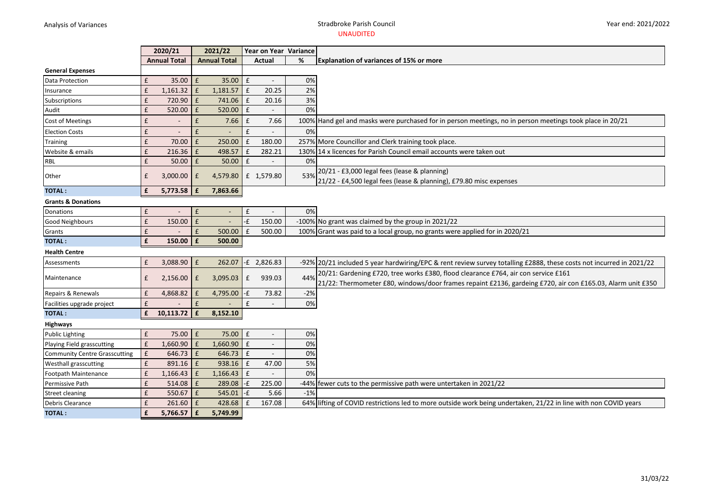### Analysis of Variances **Stradbroke Parish Council** UNAUDITED

|                                      |                    | 2020/21             |                    | 2021/22             |                    | Year on Year Variance    |       |                                                                                                                     |
|--------------------------------------|--------------------|---------------------|--------------------|---------------------|--------------------|--------------------------|-------|---------------------------------------------------------------------------------------------------------------------|
|                                      |                    | <b>Annual Total</b> |                    | <b>Annual Total</b> |                    | Actual                   | %     | Explanation of variances of 15% or more                                                                             |
| <b>General Expenses</b>              |                    |                     |                    |                     |                    |                          |       |                                                                                                                     |
| Data Protection                      | £                  | 35.00               | £                  | $35.00$ $E$         |                    |                          | 0%    |                                                                                                                     |
| Insurance                            | £                  | 1,161.32            | £                  | $1,181.57$ £        |                    | 20.25                    | 2%    |                                                                                                                     |
| Subscriptions                        | £                  | 720.90              | £                  | 741.06 E            |                    | 20.16                    | 3%    |                                                                                                                     |
| Audit                                | £                  | 520.00              | £                  | $520.00$ £          |                    |                          | 0%    |                                                                                                                     |
| <b>Cost of Meetings</b>              | £                  |                     | £                  | 7.66                | $\pmb{\mathsf{f}}$ | 7.66                     |       | 100% Hand gel and masks were purchased for in person meetings, no in person meetings took place in 20/21            |
| <b>Election Costs</b>                | £                  |                     | £                  |                     | £                  |                          | 0%    |                                                                                                                     |
| Training                             | £                  | 70.00               | £                  | 250.00              | E                  | 180.00                   |       | 257% More Councillor and Clerk training took place.                                                                 |
| Website & emails                     | £                  | 216.36              | £                  | 498.57 E            |                    | 282.21                   |       | 130% 14 x licences for Parish Council email accounts were taken out                                                 |
| <b>RBL</b>                           | £                  | 50.00               | £                  | 50.00               | $\pmb{\mathtt{f}}$ |                          | 0%    |                                                                                                                     |
| Other                                | £                  | 3,000.00            | £                  | 4,579.80            |                    | £ 1,579.80               | 53%   | 20/21 - £3,000 legal fees (lease & planning)                                                                        |
|                                      |                    |                     |                    |                     |                    |                          |       | 21/22 - £4,500 legal fees (lease & planning), £79.80 misc expenses                                                  |
| <b>TOTAL:</b>                        | £                  | 5,773.58            | £                  | 7,863.66            |                    |                          |       |                                                                                                                     |
| <b>Grants &amp; Donations</b>        |                    |                     |                    |                     |                    |                          |       |                                                                                                                     |
| Donations                            | $\pmb{\mathsf{f}}$ |                     | £                  | $\sim$              | $\pounds$          |                          | 0%    |                                                                                                                     |
| <b>Good Neighbours</b>               | £                  | 150.00              | £                  | $\blacksquare$      | -£                 | 150.00                   |       | -100% No grant was claimed by the group in 2021/22                                                                  |
| Grants                               | £                  |                     | £                  | 500.00              | £                  | 500.00                   |       | 100% Grant was paid to a local group, no grants were applied for in 2020/21                                         |
| <b>TOTAL:</b>                        | £                  | 150.00              | £                  | 500.00              |                    |                          |       |                                                                                                                     |
| <b>Health Centre</b>                 |                    |                     |                    |                     |                    |                          |       |                                                                                                                     |
| Assessments                          | £                  | 3,088.90            | £                  |                     |                    | 262.07 -£ 2,826.83       |       | -92% 20/21 included 5 year hardwiring/EPC & rent review survey totalling £2888, these costs not incurred in 2021/22 |
|                                      |                    |                     |                    |                     |                    |                          |       | 20/21: Gardening £720, tree works £380, flood clearance £764, air con service £161                                  |
| Maintenance                          | £                  | 2,156.00            | £                  | 3,095.03            | £                  | 939.03                   | 44%   | 21/22: Thermometer £80, windows/door frames repaint £2136, gardeing £720, air con £165.03, Alarm unit £350          |
| Repairs & Renewals                   | £                  | 4,868.82            | £                  | 4,795.00            | $-E$               | 73.82                    | $-2%$ |                                                                                                                     |
| Facilities upgrade project           | £                  |                     | $\pmb{\mathsf{f}}$ |                     | $\pmb{\mathsf{f}}$ |                          | 0%    |                                                                                                                     |
| <b>TOTAL:</b>                        | £                  | 10,113.72           | £                  | 8,152.10            |                    |                          |       |                                                                                                                     |
| Highways                             |                    |                     |                    |                     |                    |                          |       |                                                                                                                     |
| <b>Public Lighting</b>               | £                  | 75.00               | £                  | 75.00 £             |                    | $\blacksquare$           | 0%    |                                                                                                                     |
| Playing Field grasscutting           | $\pmb{\mathsf{f}}$ | 1,660.90            | £                  | $1,660.90$ £        |                    | $\overline{\phantom{a}}$ | 0%    |                                                                                                                     |
| <b>Community Centre Grasscutting</b> | $\pmb{\mathsf{f}}$ | $646.73$ £          |                    | $646.73$ £          |                    |                          | 0%    |                                                                                                                     |
| <b>Westhall grasscutting</b>         | £                  | $891.16$ $E$        |                    | 938.16 £            |                    | 47.00                    | 5%    |                                                                                                                     |
| Footpath Maintenance                 | £                  | $1,166.43$ £        |                    | $1,166.43$ £        |                    |                          | 0%    |                                                                                                                     |
| Permissive Path                      | £                  | 514.08              | £                  | $289.08$ -£         |                    | 225.00                   |       | -44% fewer cuts to the permissive path were untertaken in 2021/22                                                   |
| <b>Street cleaning</b>               | £                  | 550.67              | £                  | $545.01$ -£         |                    | 5.66                     | $-1%$ |                                                                                                                     |
| Debris Clearance                     | £                  | 261.60              | £                  | 428.68              | $\mathbf{f}$       | 167.08                   |       | 64% lifting of COVID restrictions led to more outside work being undertaken, 21/22 in line with non COVID years     |
| <b>TOTAL:</b>                        | £                  | 5,766.57            | £                  | 5,749.99            |                    |                          |       |                                                                                                                     |